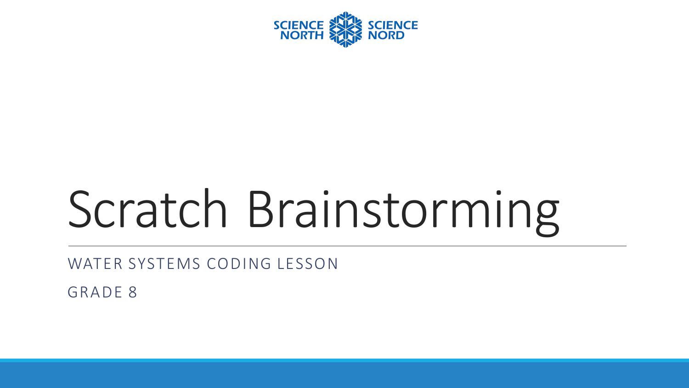

# Scratch Brainstorming

WATER SYSTEMS CODING LESSON

GRADE 8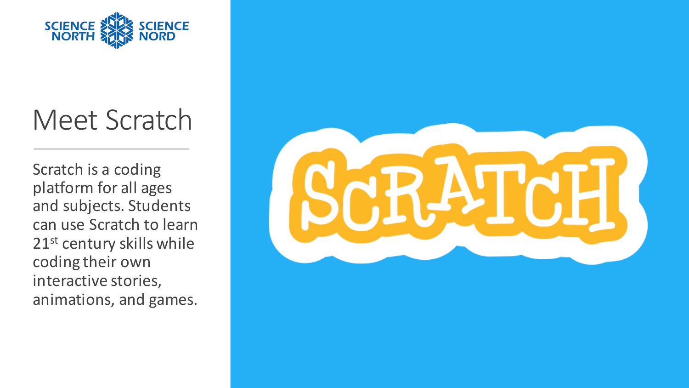

#### Meet Scratch

Scratch is a coding platform for all ages and subjects. Students can use Scratch to learn 21<sup>st</sup> century skills while coding their own interactive stories, animations, and games.

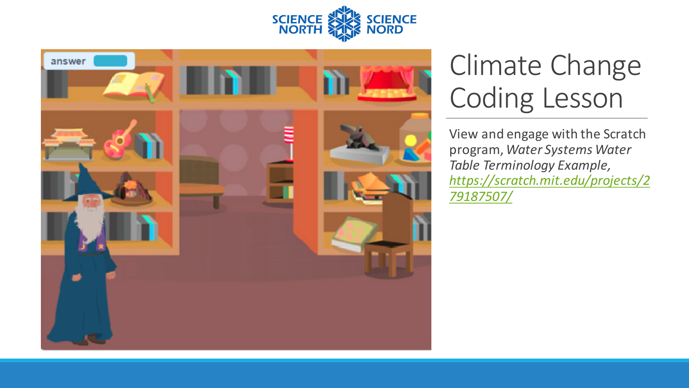



## Climate Change Coding Lesson

View and engage with the Scratch program, *Water Systems Water*  **Table Terminology Example,** *https://scratch.mit.edu/projects/2 79187507/*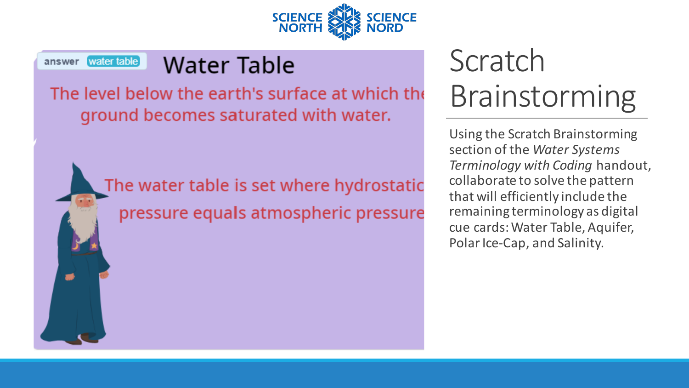

#### answer water table Water Table

The level below the earth's surface at which the ground becomes saturated with water.

> The water table is set where hydrostatic pressure equals atmospheric pressure

# Scratch Brainstorming

Using the Scratch Brainstorming section of the Water Systems *Terminology with Coding* handout, collaborate to solve the pattern that will efficiently include the remaining terminology as digital cue cards: Water Table, Aquifer, Polar Ice-Cap, and Salinity.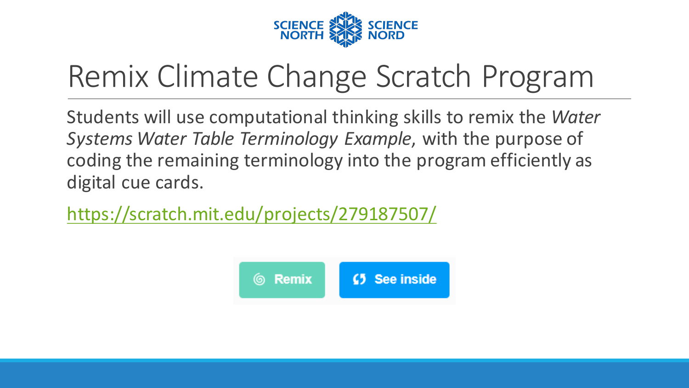

# Remix Climate Change Scratch Program

Students will use computational thinking skills to remix the *Water* Systems Water Table Terminology Example, with the purpose of coding the remaining terminology into the program efficiently as digital cue cards.

https://scratch.mit.edu/projects/279187507/

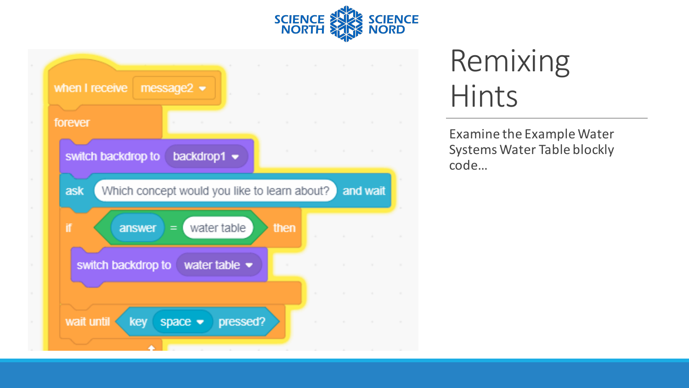



Examine the Example Water Systems Water Table blockly code…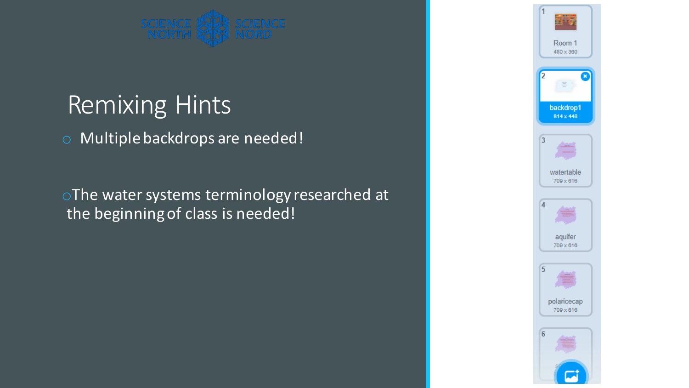

o Multiple backdrops are needed!

oThe water systems terminology researched at the beginning of class is needed!

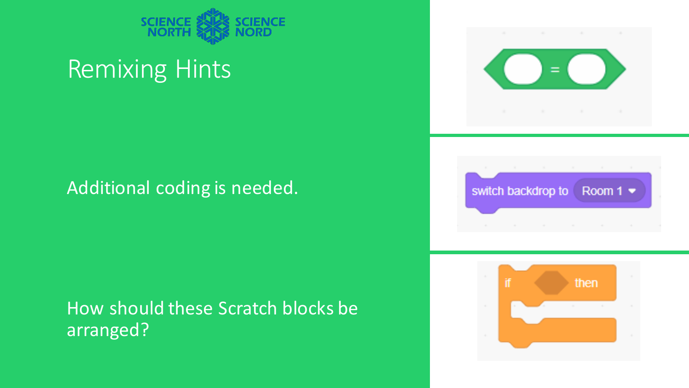

#### Additional coding is needed.

#### How should these Scratch blocks be arranged?





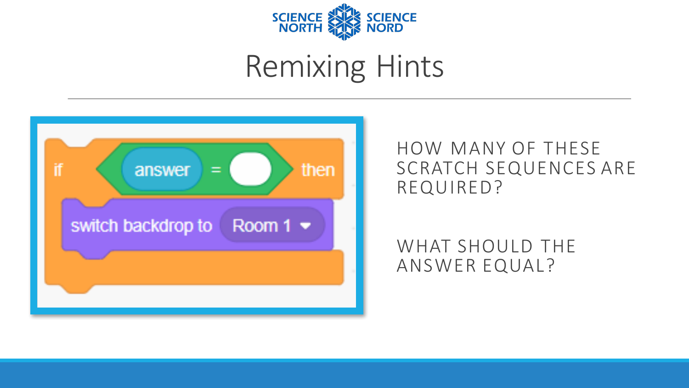



HOW MANY OF THESE SCRATCH SEQUENCES ARE REQUIRED?

WHAT SHOULD THE ANSWER EQUAL?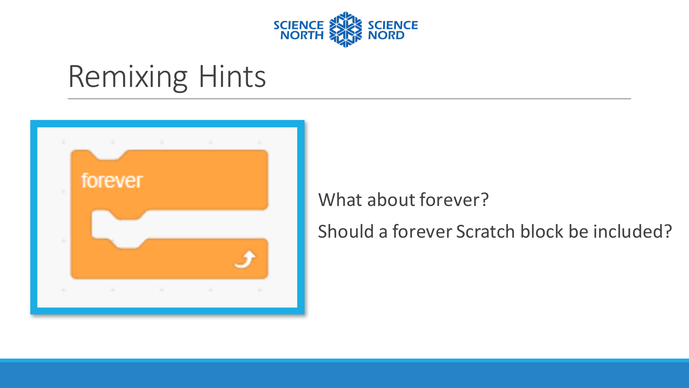



#### What about forever?

Should a forever Scratch block be included?